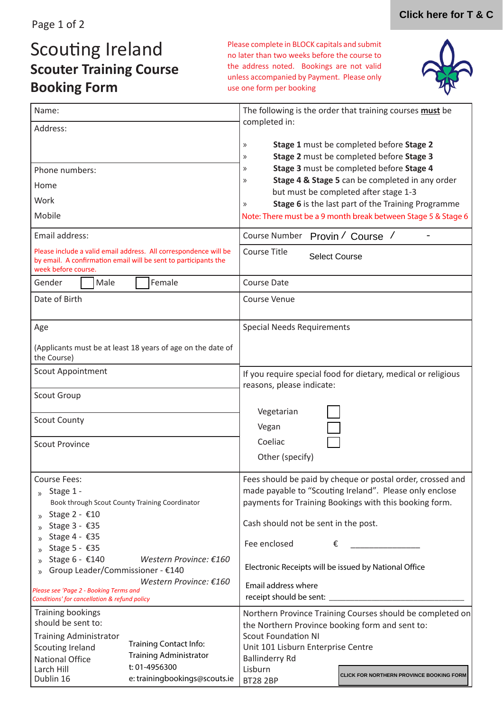# Scouting Ireland **Scouter Training Course Booking Form**

Please complete in BLOCK capitals and submit no later than two weeks before the course to the address noted. Bookings are not valid unless accompanied by Payment. Please only use one form per booking



| Name:                                                                                                                                                                                                                   |                               | The following is the order that training courses must be<br>completed in:                                                                                                                                                                                                                          |                                                                                      |
|-------------------------------------------------------------------------------------------------------------------------------------------------------------------------------------------------------------------------|-------------------------------|----------------------------------------------------------------------------------------------------------------------------------------------------------------------------------------------------------------------------------------------------------------------------------------------------|--------------------------------------------------------------------------------------|
| Address:                                                                                                                                                                                                                |                               |                                                                                                                                                                                                                                                                                                    |                                                                                      |
|                                                                                                                                                                                                                         |                               | $\gg$<br>$\rangle$                                                                                                                                                                                                                                                                                 | Stage 1 must be completed before Stage 2<br>Stage 2 must be completed before Stage 3 |
| Phone numbers:                                                                                                                                                                                                          |                               | Stage 3 must be completed before Stage 4<br>$\rangle$<br>Stage 4 & Stage 5 can be completed in any order<br>$\rangle$<br>but must be completed after stage 1-3<br>Stage 6 is the last part of the Training Programme<br>$\rangle$<br>Note: There must be a 9 month break between Stage 5 & Stage 6 |                                                                                      |
| Home                                                                                                                                                                                                                    |                               |                                                                                                                                                                                                                                                                                                    |                                                                                      |
| Work                                                                                                                                                                                                                    |                               |                                                                                                                                                                                                                                                                                                    |                                                                                      |
| Mobile                                                                                                                                                                                                                  |                               |                                                                                                                                                                                                                                                                                                    |                                                                                      |
| Email address:                                                                                                                                                                                                          |                               | Course Number Provin / Course /                                                                                                                                                                                                                                                                    |                                                                                      |
| Please include a valid email address. All correspondence will be<br>by email. A confirmation email will be sent to participants the<br>week before course.                                                              |                               | <b>Course Title</b><br><b>Select Course</b>                                                                                                                                                                                                                                                        |                                                                                      |
| Male<br>Gender                                                                                                                                                                                                          | Female                        | <b>Course Date</b>                                                                                                                                                                                                                                                                                 |                                                                                      |
| Date of Birth                                                                                                                                                                                                           |                               | <b>Course Venue</b>                                                                                                                                                                                                                                                                                |                                                                                      |
| Age                                                                                                                                                                                                                     |                               | <b>Special Needs Requirements</b>                                                                                                                                                                                                                                                                  |                                                                                      |
| (Applicants must be at least 18 years of age on the date of<br>the Course)                                                                                                                                              |                               |                                                                                                                                                                                                                                                                                                    |                                                                                      |
| Scout Appointment                                                                                                                                                                                                       |                               | If you require special food for dietary, medical or religious<br>reasons, please indicate:                                                                                                                                                                                                         |                                                                                      |
| <b>Scout Group</b>                                                                                                                                                                                                      |                               |                                                                                                                                                                                                                                                                                                    |                                                                                      |
|                                                                                                                                                                                                                         |                               | Vegetarian                                                                                                                                                                                                                                                                                         |                                                                                      |
| <b>Scout County</b>                                                                                                                                                                                                     |                               | Vegan                                                                                                                                                                                                                                                                                              |                                                                                      |
| <b>Scout Province</b>                                                                                                                                                                                                   |                               | Coeliac                                                                                                                                                                                                                                                                                            |                                                                                      |
|                                                                                                                                                                                                                         |                               | Other (specify)                                                                                                                                                                                                                                                                                    |                                                                                      |
| Course Fees:<br>Stage 1 -<br>$\mathcal{Y}$<br>Book through Scout County Training Coordinator                                                                                                                            |                               | Fees should be paid by cheque or postal order, crossed and<br>made payable to "Scouting Ireland". Please only enclose<br>payments for Training Bookings with this booking form.                                                                                                                    |                                                                                      |
| Stage 2 - €10<br>$\mathcal{P}$<br>Stage 3 - €35<br>$\mathcal{P}$                                                                                                                                                        |                               | Cash should not be sent in the post.                                                                                                                                                                                                                                                               |                                                                                      |
| Stage 4 - €35<br>$\mathcal{P}$<br>Stage 5 - €35<br>$\mathcal{P}$                                                                                                                                                        |                               | Fee enclosed<br>€                                                                                                                                                                                                                                                                                  |                                                                                      |
| Stage 6 - €140<br>Western Province: €160<br>Group Leader/Commissioner - €140                                                                                                                                            |                               | Electronic Receipts will be issued by National Office                                                                                                                                                                                                                                              |                                                                                      |
| Western Province: €160<br>Please see 'Page 2 - Booking Terms and                                                                                                                                                        |                               | Email address where                                                                                                                                                                                                                                                                                |                                                                                      |
| Conditions' for cancellation & refund policy                                                                                                                                                                            |                               | receipt should be sent: _________                                                                                                                                                                                                                                                                  |                                                                                      |
| Training bookings<br>should be sent to:<br><b>Training Administrator</b><br><b>Training Contact Info:</b><br>Scouting Ireland<br><b>Training Administrator</b><br><b>National Office</b><br>t: 01-4956300<br>Larch Hill |                               | Northern Province Training Courses should be completed on<br>the Northern Province booking form and sent to:<br><b>Scout Foundation NI</b><br>Unit 101 Lisburn Enterprise Centre<br><b>Ballinderry Rd</b><br>Lisburn                                                                               |                                                                                      |
| Dublin 16                                                                                                                                                                                                               | e: trainingbookings@scouts.ie | <b>BT28 2BP</b>                                                                                                                                                                                                                                                                                    | CLICK FOR NORTHERN PROVINCE BOOKING FORM                                             |